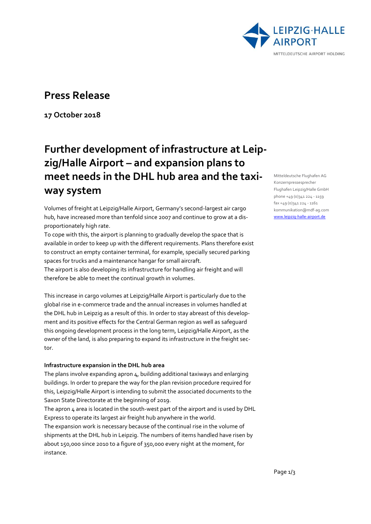

## **Press Release**

**17 October 2018**

# **Further development of infrastructure at Leipzig/Halle Airport – and expansion plans to meet needs in the DHL hub area and the taxiway system**

Volumes of freight at Leipzig/Halle Airport, Germany's second-largest air cargo hub, have increased more than tenfold since 2007 and continue to grow at a disproportionately high rate.

To cope with this, the airport is planning to gradually develop the space that is available in order to keep up with the different requirements. Plans therefore exist to construct an empty container terminal, for example, specially secured parking spaces for trucks and a maintenance hangar for small aircraft.

The airport is also developing its infrastructure for handling air freight and will therefore be able to meet the continual growth in volumes.

This increase in cargo volumes at Leipzig/Halle Airport is particularly due to the global rise in e-commerce trade and the annual increases in volumes handled at the DHL hub in Leipzig as a result of this. In order to stay abreast of this development and its positive effects for the Central German region as well as safeguard this ongoing development process in the long term, Leipzig/Halle Airport, as the owner of the land, is also preparing to expand its infrastructure in the freight sector.

### **Infrastructure expansion in the DHL hub area**

The plans involve expanding apron 4, building additional taxiways and enlarging buildings. In order to prepare the way for the plan revision procedure required for this, Leipzig/Halle Airport is intending to submit the associated documents to the Saxon State Directorate at the beginning of 2019.

The apron 4 area is located in the south-west part of the airport and is used by DHL Express to operate its largest air freight hub anywhere in the world.

The expansion work is necessary because of the continual rise in the volume of shipments at the DHL hub in Leipzig. The numbers of items handled have risen by about 150,000 since 2010 to a figure of 350,000 every night at the moment, for instance.

Mitteldeutsche Flughafen AG Konzernpressesprecher Flughafen Leipzig/Halle GmbH phone +49 (0)341 224 - 1159  $fax + 49(0)341224 - 1161$ kommunikation@mdf-ag.com [www.leipzig-halle-airport.de](file://///w2k1.local/RepliDRS/MF-K/Presse/Pressemitteilungen/2014/LEJ/www.leipzig-halle-airport.de)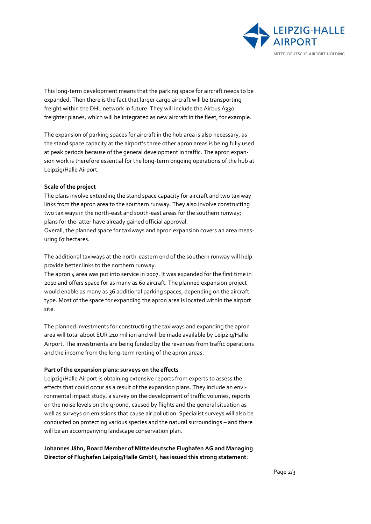

This long-term development means that the parking space for aircraft needs to be expanded. Then there is the fact that larger cargo aircraft will be transporting freight within the DHL network in future. They will include the Airbus A330 freighter planes, which will be integrated as new aircraft in the fleet, for example.

The expansion of parking spaces for aircraft in the hub area is also necessary, as the stand space capacity at the airport's three other apron areas is being fully used at peak periods because of the general development in traffic. The apron expansion work is therefore essential for the long-term ongoing operations of the hub at Leipzig/Halle Airport.

#### **Scale of the project**

The plans involve extending the stand space capacity for aircraft and two taxiway links from the apron area to the southern runway. They also involve constructing two taxiways in the north-east and south-east areas for the southern runway; plans for the latter have already gained official approval.

Overall, the planned space for taxiways and apron expansion covers an area measuring 67 hectares.

The additional taxiways at the north-eastern end of the southern runway will help provide better links to the northern runway.

The apron 4 area was put into service in 2007. It was expanded for the first time in 2010 and offers space for as many as 60 aircraft. The planned expansion project would enable as many as 36 additional parking spaces, depending on the aircraft type. Most of the space for expanding the apron area is located within the airport site.

The planned investments for constructing the taxiways and expanding the apron area will total about EUR 210 million and will be made available by Leipzig/Halle Airport. The investments are being funded by the revenues from traffic operations and the income from the long-term renting of the apron areas.

#### **Part of the expansion plans: surveys on the effects**

Leipzig/Halle Airport is obtaining extensive reports from experts to assess the effects that could occur as a result of the expansion plans. They include an environmental impact study, a survey on the development of traffic volumes, reports on the noise levels on the ground, caused by flights and the general situation as well as surveys on emissions that cause air pollution. Specialist surveys will also be conducted on protecting various species and the natural surroundings – and there will be an accompanying landscape conservation plan.

**Johannes Jähn, Board Member of Mitteldeutsche Flughafen AG and Managing Director of Flughafen Leipzig/Halle GmbH, has issued this strong statement**: